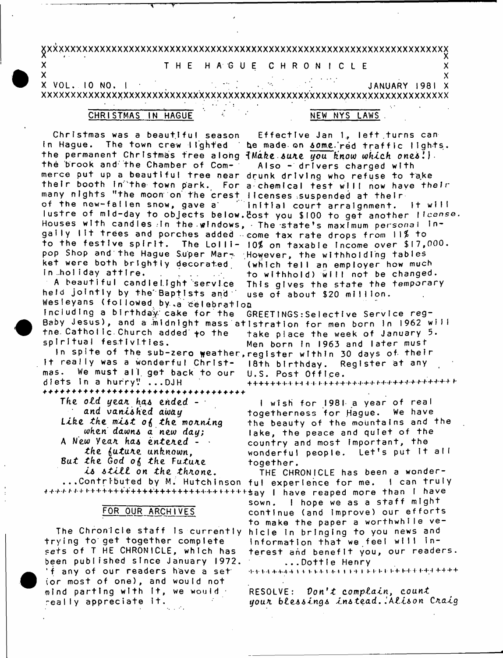# 

### THE HAGUE C H R O N I C L E

 $\boldsymbol{\mathsf{x}}$ x

 $\mathcal{L}^{\text{max}}_{\text{max}}$  , where  $\mathcal{L}^{\text{max}}_{\text{max}}$  $X$  VOL. 10 NO. 1  $\sigma_{\rm eff}$  . JANUARY 1981 X 

### **CHRISTMAS** IN HAGUE

 $\boldsymbol{\mathsf{x}}$ 

X

# NEW NYS LAWS.

Christmas was a beautiful season Effective Jan 1, left turns can In Hague. The town crew lighted be made on some red traffic lights. the permanent Christmas tree along {Make sure you know which ones!). the brook and the Chamber of Com-Also - drivers charged with merce put up a beautiful tree near drunk driving who refuse to take their booth in the town park. For a chemical test will now have their many nights "the moon on the crest licenses suspended at their<br>of the new-fallen snow, gave a countinal court arraignment. It will lustre of mid-day to objects below. Eost you \$100 to get another license. Houses with candles in the windows, The state's maximum personal ingaily lit trees and porches added wcome tax rate drops from ll% to to the festive spirit. The Lolli- 10% on taxable income over \$17,000. pop Shop and the Hague Super Mar- However, the withholding tables ket were both brightly decorated (which tell an employer how much in holiday attire. to withhold) will not be changed. A beautiful candlellght service This gives the state the temporary held jointly by the Baptists and use of about \$20 million. Wesleyans (followed by a celebration

Including a birthday cake for the GREETINGS: Selective Service reg-Baby Jesus), and a midnight mass atistration for men born in 1962 will the Catholic Church added to the take place the week of January 5. spiritual festivities. Men born In 1963 and later must In spite of the sub-zero weather, register within 30 days of their

18th birthdav.

U.S. Post Office.

It really was a wonderful Christmas. We must all get back to our diets in a hurry! ... DJH \*\*\*\*\*\*\*\*\*\*\*\*\*\*\*\*\*\*\*\*\*\*\*\*\*\*\*\*\*\*\*\*\*\*

The old year has ended  $$ and vanished away Like the mist of the morning when dawns a new day: A New Year has entered - . the future unknown. But the God of the Future is still on the throne.

# FOR OUR ARCHIVES

trying to get together complete sets of T HE CHRONICLE, which has been published since January 1972. 'f any of our readers have a set (or most of one), and would not mind parting with it, we would  $\cdot$ really appreciate it.

<del>╇╇╋╅╆</del>╋╦╤╪┪┨╬╒╞╪╇╬╬┾┾╬╪╬╫╫╫╇╇╫╫╫╫╫╫╇╫╫ I wish for 1981 a year of real togetherness for Hague. We have the beauty of the mountains and the lake, the peace and quiet of the country and most important, the wonderful people. Let's put it all

Register at any

together. THE CHRONICLE has been a wonder-...Contributed by M. Hutchinson ful experience for me. I can truly \*\*\*\*\*\*\*\*\*\*\*\*\*\*\*\*\*\*\*\*\*\*\*\*\*\*\*\*\*\*\*\*\*\*\*\*\*say | have reaped more than I have I hope we as a staff might sown. continue (and improve) our efforts to make the paper a worthwhile ve-The Chronicle staff is currently hicle in bringing to you news and information that we feel will interest and benefit you, our readers. ...Dottle Henry

RESOLVE:  $Don't complain, count$ your blessings instead. Alison Craig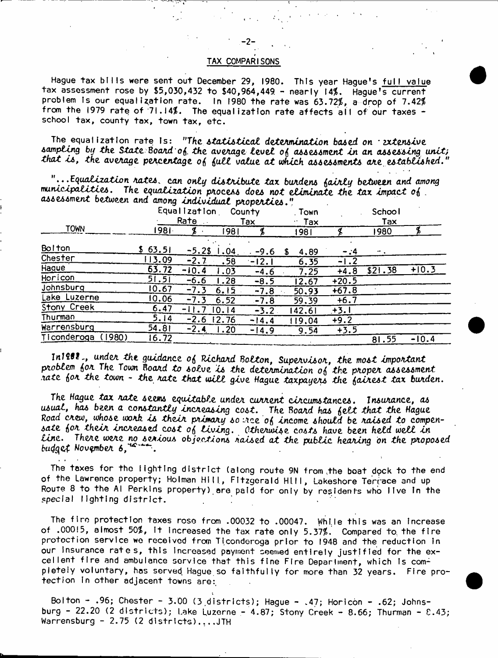## TAX COMPARISONS

Hague tax bills were sent out December 29, 1980. This year Hague's full value tax assessment rose by \$5,030,432 to \$40,964,449 - nearly 14%. Hague's current problem is our equalization rate. In 1980 the rate was 63.72%, a drop of 7.42% from the 1979 rate of 71.14%. The equalization rate affects all of our taxes school tax, county tax, town tax, etc.

The equalization rate is: "The statistical determination based on · extensive sampling by the State Board of the average level of assessment in an assessing unit; that is, the average percentage of full value at which assessments are established."

"...Equalization rates, can only distribute tax burdens fairly between and among municipalities. The equalization process does not eliminate the tax impact of. assessment between and among individual properties."

|                       | Equalization<br>Rate<br>$\sim$ 10 $\pm$ |           |       | County<br>Tax | Town<br>Tax | School<br>Tax |         |         |
|-----------------------|-----------------------------------------|-----------|-------|---------------|-------------|---------------|---------|---------|
| <b>TOWN</b>           | 1981.                                   |           | 1981  |               | 1981        |               | 1980    |         |
| <b>Bolton</b>         | \$63.51                                 | $-5.2$ \$ | .04   | $-9.6$        | 4,89        | $-14$         |         |         |
| Chester               | 113.09                                  | $-2.7$    | .58   | $-12.1$       | 6.35        | - 1           |         |         |
| Hague                 | 63.72                                   | 10.4      | .03   | $-4.6$        | 7.25        | $+4.8$        | \$21.38 | $+10.3$ |
| Horicon               | 51.51                                   | $-6.6$    | .28   | $-8.5$        | 12.67       | $+20.5$       |         |         |
| Johnsburg             | 10.67                                   | $-7.3$    | 6.15  | $-7.8$        | 50.93       | $+67.8$       |         |         |
| Lake Luzerne          | 10.06                                   | $-7.3$    | 6.52  | $-7.8$        | 59.39       | $+6.7$        |         |         |
| Stony Creek           | 6.47                                    |           | 10.14 | $-3.2$        | 42.61       | $+3.1$        |         |         |
| Thurman               | 5. I 4                                  | $-2.6$    | 12.76 | $-14.4$       | 119.04      | $+9.2$        |         |         |
| Warrensburg           | 54.81                                   | $-2.4$    | .20   | $-14.9$       | 9.54        | $+3.5$        |         |         |
| (1980)<br>Ticonderoga | 16.72                                   |           |       |               |             |               | 81.55   | $-10.4$ |

In1982, under the guidance of Richard Bolton, Supervisor, the most important problem for The Town Board to solve is the determination of the proper assessment hate for the town - the rate that will give Hague taxpayers the fairest tax burden.

The Hague tax nate seems equitable under current circumstances. Insurance, as usual, has been a constantly increasing cost. The Board has felt that the Hague Road crew, whose work is their primary so ree of income should be raised to compensate for their increased cost of living. Otherwise costs have been held well in Line. There were no serious objections raised at the public hearing on the proposed budget November 6, the the

The taxes for the lighting district (along route 9N from the boat dock to the end of the Lawrence property; Holman Hill, Fitzgerald Hill, Lakeshore Terrace and up Route 8 to the Al Perkins property) are paid for only by residents who live in the special lighting district.

The fire protection taxes rose from .00032 to .00047. While this was an increase of .00015, almost 50%, it increased the tax rate only 5.37%. Compared to the fire protection service we received from Ticonderoga prior to 1948 and the reduction in our insurance rates, this increased payment seemed entirely justified for the excellent fire and ambulance service that this fine Fire Department, which is completely voluntary, has served Hague so faithfully for more than 32 years. Fire protection in other adjacent towns are:

Bolton - .96; Chester - 3.00 (3 districts); Hague - .47; Horicon - .62; Johnsburg - 22.20 (2 districts); Lake Luzerne - 4.87; Stony Creek - 8.66; Thurman -  $E.43$ ; Warrensburg - 2.75 (2 districts).,..JTH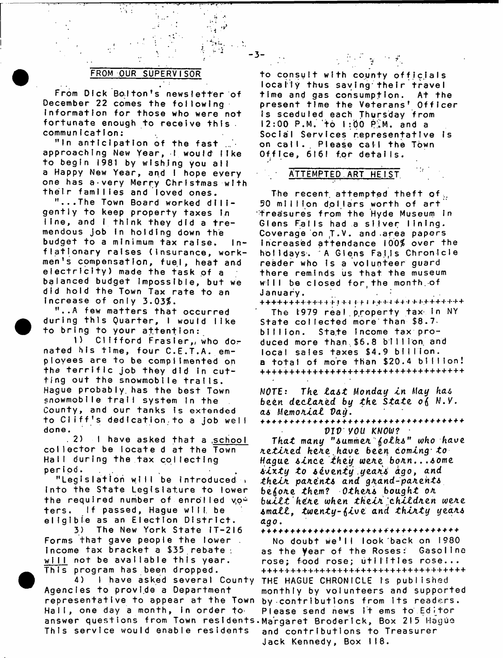# **FROM OUR SUPERVISOR**

 $\mathcal{L}_{\text{eff}}$  :

**From Dick Bolton's newsletter of December 22 comes the following Information for those who were not fortunate enough to receive this communication;**

"In anticipation of the fast approaching New Year, I would like **to begin 1981 by w is hing you all** a Happy New Year, and I hope every **one has a-very Merry Christmas with their families and loved ones.**

**"...The Town Board worked dili**gently to keep property taxes in line, and I think they did a tremendous job in holding down the budget to a minimum tax raise. In**flationary raises (Insurance, work**men's compensation, fuel, heat and **electricity) made the task of a balanced budget Impossible, but we did hold the Town Tax rate to an** increase of only 3.03%.

**"..A few matters that occurred** during this Quarter, I would like to bring to your attention:

1) Clifford Frasier, who donated his time, four C.E.T.A. em**ployees are to be complimented on** the terrific job they did in cut**ting out the snowmobile trails. Hague probably, has the best Town** snowmobile trail system in the County, and our tanks is extended to Cliff's dedication, to a job well **done.**

. 2) I have asked that a school collector be locate d at the Town **Hall during the tax collecting period.**

**"Legislation will be introduced » Into the State Legislature to lower the required number of enrolled yo^** ters. If passed, Hague will be **eligible as an Election District.**

**3)** The New York State IT-216 **Forms that gave people the lower . income tax bracket a \$35 rebate: will not be available this year. This program has been dropped.**

4) I have asked several County Agencies to provide a Department **representative to appear at the Town by-contributions from its readers.** Hall, one day a month, in order to Please send news it ems to Editor answer questions from Town residents.Margaret Broderick, Box 215 Hague **This service would enable residents and contributions to Treasurer**

# $\label{eq:2.1} \frac{1}{\sqrt{2}}\left(\frac{1}{\sqrt{2}}\right)^{2}=\frac{1}{\sqrt{2}}\left(\frac{1}{\sqrt{2}}\right)^{2}=\frac{1}{\sqrt{2}}\left(\frac{1}{\sqrt{2}}\right)^{2}=\frac{1}{\sqrt{2}}\left(\frac{1}{\sqrt{2}}\right)^{2}$

 $-3-$ 

**to consult with county officials locally thus saving\*their travel time and gas consumption. At the present time the Veterans' Officer** Is sceduled each Thursday from **12:00 P.M. to 1:00 P.M. and a** Social Services representative is on cail. Please cail the Town **Office, 6161 tor details.**

# **\* A T T E M P T E D A R T H E I S T**

The recent attempted theft of. **50 million dollars worth of art** freasures from the Hyde Museum in Glens Falls had a silver lining. Coverage on T.V. and area papers **increased attendance 100% over the** holidays. A Glens Faijs Chronicle reader who Is a volunteer guard there reminds us that the museum will be closed for the month of **J a n u a r y .**

+ + + + + + + + + + + 4 - M + - I I f I I- + + 4 + + - I - + + + + + + + + + **T h e 19 7 9 r e a I . p r o p e r t y tax- In NY State collected more than \$8.7** billion. State Income tax produced more than \$6.8 billion and **local sales taxes \$4.9 billion, a** total of more than \$20.4 billion! ++++++++++++++++++++++++++++++++++++

**NOTE:** *The l a s t Monday I n* **M***ay has* **been** *declated by the. State,* **ojj N.Y.** *as Memo Alai Va\$.*

*VJV you KNOW?* **•**

*That many "SummeA \$olks" toko have AetlAed hete.have been coming to Hague since they wete boAn...some s i x t y to seventy yeaAS dgo, and thelA pa/tents and gA.and-patents b e io te them? Othets bought ot* built here when their children were *smalt, twenty-\$lv£ and t h l t t y yeats ago***.**

**No doubt we'll look'back on 1980** as the **y**ear of the Roses: Gasoline **rose; food rose; utilities rose...** ++++++++++++++++++++++++++++++++++++ **THE HAGUE CHRONICLE is published monthly by volunteers and supported Jack Kennedy, Box 118.**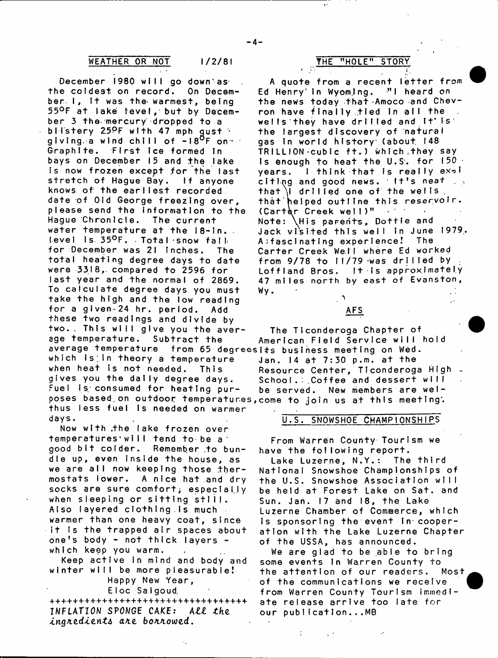# WEATHER OR NOT  $1/2/81$  **THE "HOLE" STORY**

December 1980 will go downlas<sup>.</sup> **the coldest on record. On Decem**ber I, It was the warmest, being 55°F at lake level, but by December 3 the mercury dropped to a **bl I s t e r y 2;5PF with 47 mph gust '** giving a wind chill of -18<sup>0</sup>F on  $\cdot$ Graph Ite. First ice formed in bays on December 15 and the lake Is now frozen except for the last stretch of Hague Bay. If anyone **knows of the earliest recorded date of Old George freezing over, please send the Information to the** Hague Chronicie. The current **water temperature at the 18-In. . level is 35°F.** Total snow fall for December was 21 inches. The **total heating degree days to date were 3318,. compared to 259 6 for last year and the normal of 2869. T o calculate degree days you must take the high and the low reading** for a given-24 h**r.** period. Add **AFS these two readings and divide by** two.. This will give you the aver- The Ticonderoga Chapter of<br>age temperature. Subtract the American Field Service will **average temperature from 65 degreesits business meeting on Wed.** which is in theory a temperature Jan. 14 at 7:30 p.m. at the gives you the dally degree days. School. Coffee and dessert will Fuel is consumed for heating pur- be served. New members are welposes based on outdoor temperatures, come to join us at this meeting. thus less fuel is needed on warmer **days.**

**Now with .the lake frozen over** temperatures will tend to be a good bit colder. Remember to bun**dle up, even inside the house, as** we are all now keeping those thermostats lower. A nice hat and dry **socks are sure comfort; especially when sleepi.ng or sitting stlil. Also layered clothing.is much warmer than one heavy coat, since** it is the trapped air spaces about one's body - not thick layers **which keep you warm.**

Keep active in mind and body and **winter will be more pleasurable! Happy New Year,**

**Eloc** Salgoud.

\*\*\*\*\*\*\*\*\*\*\*\*\*\*\*\*\*\*\*\*\*\*\*\*\*\*\*\*\*\*\*\*\*\*\* **INFLATION SPONGE CAKE: ALL the** *atco, botviowzd.*

**A q u o t e f r o m a r e c e n t l et ter** from Ed Henry' in Wyomling. <sup>"I</sup> heard on **the news today that Amoco and Chev**ron have finally tied in all the wells they have drilled and it' is **the largest discovery of natural** gas in world history (about 148 **T R I L L I O N ' C u b i c f t . ) w h i c h .they s a y** Is enough to heat the U.S. for 150 . years. I think that is really ex-1 **citing and good news. It's neat** that i drilled one of the wells **that'helped outline this reservoir. (Carter Creek well)**<sup>"</sup> Note: \His parents, Dottle and Jack visited this well in June 1979, **A:fascinating experience! The Car ter Creek Well where Ed worked from 9/7 8 to 11/79 -was drilled by .** Loffland Bros. It is approximately **47 miles north by east of Evanston, W y . . :**

**age temperature. Subtract the American Field Service will hold** when heat is not needed. This **Resource Center, Ticonderoga High** 

# **U.S. SNOWSHOE CHAMPIONSHIPS**

**From Warren County Tourism we have the following report.**

**Lake Luzerne, N.Y.: The third National Snowshoe Championships of the U.S. Snowshoe Association will be held at Forest Lake on Sat. and** Sun. Jan. 17 and 18, the Lake **Luzerne Chamber of Commerce, which** Is sponsoring the event in cooper**ation with the Lake Luzerne Chapter of the USSA, has announced.**

**We are glad to be able to bring** some events in Warren County to **the attention of our readers. Most of the communications we receive from Warren County Tourism immediate release arrive too late for** our publication...MB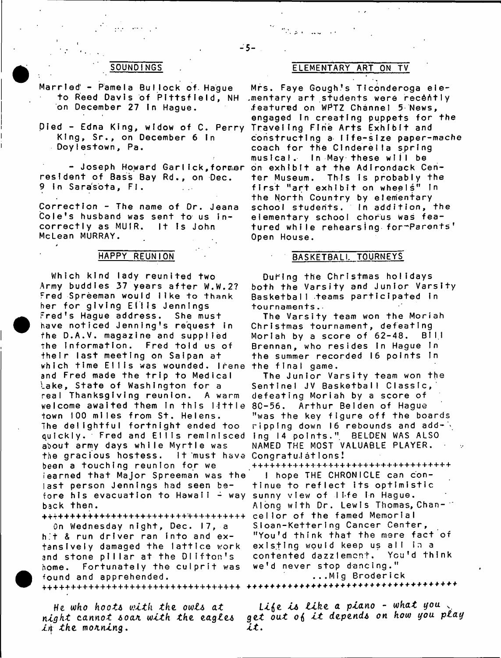- Married Pamela Bullock of Haque **to Reed Davis of Pittsfield, NH on D e c e m b e r 27 In H a g u e .**
- King, Sr., on December 6 in **Doylestown, Pa.**

resident of Bass Bay Rd., on Dec. **9 In Sarasota, FI.** 

Correction - The name of Dr. Jeana Cole's husband was sent to us incorrectly as MUIR. It is John **McLean MURRAY.**

# **HAPPY REUNION**

**Which kind lady reunited two Army buddies 37 years after W.W.2? Fred Spreeman would like to** thank **her for giving Ellis Jennings** Fred's Hague address. She must have noticed Jenning's request in **the D.A.V. magazine and supplied The Information. Fred told us of their last meeting on Saipan at** which time Ellis was wounded. Irene the final game. **and Fred made the trip to Medical** Lake, State of Washington for a real Thanksgiving reunion. A warm **w e l c o m e a w a i t e d t h e m In t h i s l i t t l e 8C-56. Arthur Belden of Hague town 100 miles from St. Helens. The delightful fortnight ended too quickly. Fred and Ellis reminisced about army days while Myrtle was** the gracious hostess. been a touching reunion for we **iearned that Major Spreeman was the last person Jennings had seen be**fo<mark>re his evacuation to Hawaii – way sunny</mark> view of life in Hague. **back then.**

<sub>\*\*\*\*\*\*\*\*\*\*\*\*\*\*\*\*\*\*\*\*\*\*\*\*\*\*\*\*\*\*\*\*\*\*</sub> On Wednesday night, Dec. 17, a h.t & run driver ran into and ex**tensively damaged the lattice work** and stone pillar at the Dlifton's **home. Fortunately the culprit was found and apprehended.**

*in the moaning***.** *i t* **.**

# **SOUNDINGS ELEMENTARY ART ON TV**

المحامل والموارد والمرادي

**p l e d - E d n a K i n g , w i d o w of C. P e r r y Traveling Fine Arts Exhibit and** - Joseph Howard Garlick,former on exhibit at the Adirondack Cen-Mrs. Faye Gough's Ticonderoga ele-**.mentary art students were recently** featured on WPTZ Channel 5 News, engaged in creating puppets for the **c o n s t r u c t i n g a l i f e - s i z e p a p e r - m a c h e coach for the Cinderella spring** musical. In May these will be **t e r M u s e u m . T h i s Is p r o b a b l y the f i r s t " a r t e x h i b i t o n w h e e l s " In the North Country by elementary** school students. In addition, the **elementary school chorus was feat u r e d w h i l e r e h e a r s I ng- for-Parents'' Open House.**

## **BASKETBALL TOURNEYS**

**During the Christmas holidays both the Varsity and Junior Varsity** Basketball teams participated in **t o u r n a m e n t s . -**

**The Varsity team won the Moriah Christmas tournament, defeating** Morlah by a score of 62-48. BILL Brennan, who resides in Hague In **t h e s u m m e r r e c o r d e d 16 p o i n t s In**

**The Junior Varsity team won the Sentinel JV Basketball Classic,'** defeating Moriah by a score of **"was the key figure off the boards** ripping down 16 rebounds and add -  $\frac{1}{2}$ Ing 14 points." BELDEN WAS ALSO **NAMED THE MOST VALUABLE PLAYER. Congratulations!**

> ++++++++++++++++++++++++++++++++++ **I** hope THE CHRONICLE can con**tinue to reflect its optimistic** Along with Dr. Lewis Thomas, Chan-" cellor of the famed Memorial **SIoan-KetterIng Cancer Center, " Y o u 'd t h i n k t h a t t h e m e r e f a c t of e x i s t i n g w o u l d keep us all in a c o n t e n t e d d a z z l e m c n t . Y c u 'd t h i n k w e 'd n e v e r s t o p d a n c i n g . " . . . M I g B r o d e r i c k**

**He** *who hoot***4** *with the. owl\* a t i i \$ e i& tike, a piano* **-** *what you* **"** *night cannot \*oaa with the eagle\* get out* **otf** *i t depend\* on how you play*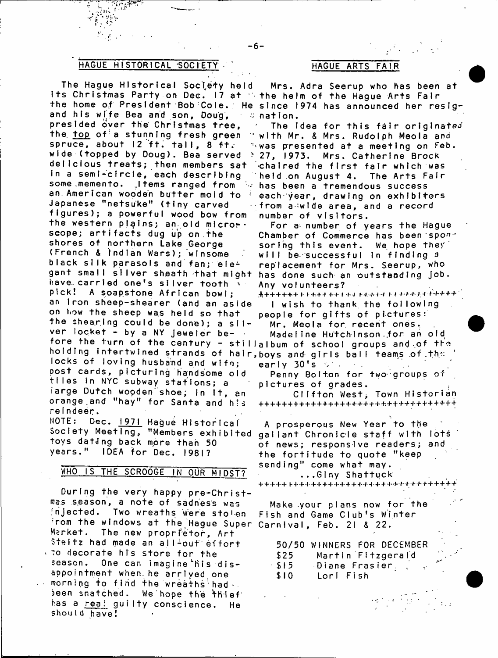# **HAGUE HISTORICAL SOCIETY HAGUE ARTS FAIR**

**The Hague Historical S oc i e t y held Its Christmas Party on Dec. 17 at the helm of the Hague Arts Fair and his wife Bea and son, Doug, presided over the' Christmas tree,** the top of a stunning fresh green spruce, about 12 ft. tall, 8 ft. wide (topped by Doug). Bea served ? 27, 1973. Mrs. Catherine Brock **delicious treats; then members sat** in a semi-circie, each describing some memento. Items ranged from  $\sim$  has been a tremendous success **an.American wooden butter mold to 1 Japanese "netsuke" (tiny carved** figures); a powerful wood bow from **the western plains; an.old mlcror\*** scope; artifacts dug up on the **shores of northern Lake George** (French & Indian Wars); winsome black silk parasols and fan; ele<sup>2</sup> gant small silver sheath that might have carried one's silver tooth  $\cdot$ pick! A soapstone African bowl; an **iron sheep-shearer** (and an aside **on how the sheep wa.s held so that** the shearing could be done); a silver locket - by a NY jeweler before the turn of the century - stillalbum of school groups and of the **holding intertwined strands of hair, b o y s and- g i r l s bal l t e a m s .of .the** locks of loving husband and wife; **post cards, picturing handsome old t i l e s In N Y C s u b w a y s t a t i o n s ; a** large Dutch wooden shoe; in it, an **orange.and "hay" for Santa and his re I n d e e r .**

NOTE: Dec. **1971 Hague Historical Society Meeting, "Members exhibited** toys dating back more than 50 **years." IDEA for Dec. 1981?**

# WHO IS THE SCROOGE IN OUR MIDST?

**During the very happy pre-Christ**mas season, a note of sadness was **injected. Two wreaths were sto'en From the windows at the Hague Super Carnival, Feb. 21 & 22. Market. The new proprietor, Art** Steltz had made an all-out effort  $t$  to decorate his store for the season. One can imagine his dis**appointment when, he arrived one** morning to find the wreaths had ... been snatched. We hope the thief has a rea! guilty conscience. He **shouId have!**

the home of President Bob Cole. He since 1974 has announced her resig-Mrs. Adra Seerup who has been at **nation.**

> **The Idea for this fair originated With Mr. & Mrs. Rudolph Meola and Was presented at a meeting on Feb. ■chaired the first fair which was** Theld on August 4. The Arts Fair **each year, drawing on exhibitors from a wide area, and a record number of visitors.**

For a number of years the Hague Chamber of Commerce has been spon**soring this event. We hope they'** will be successful in finding a **repj a c e m e n t f o r M r s . S e e r u p , w h o** has done such an outstanding job. **Any voIunteers?**

 $\#$  + + + + + + I + + + + + + + 1 + +  $\pm$  and and it is a set of  $\#$  the  $\#$ **I** wish to thank the following

**people for gifts of pictures: Mr. Meola for recent ones..**

Madeline Hutchinson for an old **e a r Iy 3 0 1s o' .**

**Penny Bolton for two- groups of pictures of grades.**

**Clifton West> Town Historian 1-++++-!- +**

A prosperous New Year to the **gallant Chronicle staff with lots of news; responsive readers; and the fortitude to quote "keep sending" come what may.**

**...Glny Shattuck**

+ + + -}-+ H - + H ' + + + + + -|- + -(- + 4 - H ' + + + + - f ' + ' H ' + ' + + ■ + + +

Make your plans now for the **Fish and Game Club's Winter**

**50/50 WINNERS FOR DECEMBER \$ 2 5 M a r t I n ' F I t z g e r a I'd \$15** Diane Frasier., **\$ I 0 L o r I F i sh**

> $\mathcal{L}(\mathcal{D})$  $\epsilon=1/2$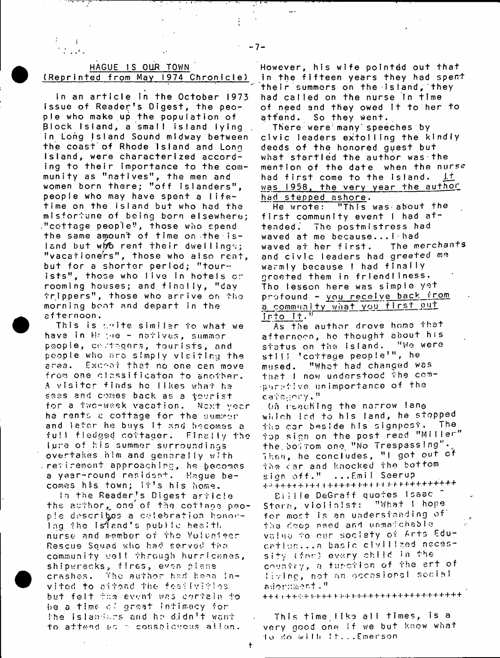| HAGUE IS OUR TOWN |  |                                     |
|-------------------|--|-------------------------------------|
|                   |  | (Reprinted from May 1974 Chronicle) |

799 The P

 $\mathbf{f}$ 

 $\mathcal{L}$  , i.e.,

÷

In an article in the October 1973 Issue of Reader's Digest, the peo**ple who make up the population of Block Island, a small island lying** in Long Island Sound midway between **the coast"of Rhode Island and Long Island, were characterized accord**ing to their importance to the com**munity as "natives", the men and women born there; "off islanders",** people who may have spent a life**time on the island but who had the m i s f o r t u n e of being born elsewhere; " c o t t a g e people", those who spend the same amount of time on the is-Isnd but wl/b rent their dwelling';; "vacationers", those who also rent,** but for a shorter period; "tour $i$  sts", those who live in hotels cr rooming houses; and finally, "day **trippers", those who arrive on the** morning boat and depart in the **a f t e r n o o n .**

This is write similar to what we **h a v e in Hr** *\'ie* **- n a t i v e s , s u m m e r p o o p 1 e , cr- .'taqers , t o u r I sts , a n d people who are simply visiting the** area. Exchat that no one can move **from one oInssificaton to another.** A visiter finds he likes what he sees and comes back as a tourist for a two-week vacation. Next year he rents a cottage for the summer and later he buys It and becomes a **full fledged cottager. Finally the lure of his summer surroundings overtakes him and generally with retirement approaching, he becomes** a year-round residont. Haque becomes his town; it's his home.

In the Reader's Digest arricle **the author,^ one of the cottaoo p e o**  p!e describes a celebration honor**ing the Island's public health n u r s e a n d m e m b e r of t h e V o ! u n J» e o r R e s c u e S q u a d w h o h a d s- e rv** *o***d t h o** community well through hurricanes, shipwrecks, fires, even plane **crashes. the author had ho-on j n**vited to airond the fesilvities **but felt t:;e e v e n t w a s c o r t a i n t o b e a time- o ' g r e a t I n t i m a c y for h h e i s 1 a n I;. r s a n d h e d j d n 71 w a n t** to attend ac a conspictous ation.

**However, his wife pointed out that** in the fifteen years they had spent their summers on the island, they had called on the nurse In time of need and they owed it to her to **attend. So they went.**

There were many speeches by **civic leaders extolling the kindly deeds of the honored guest but what startled the author was the mention of the date when the nurse** had first come to the island. It **w a s 1958, the very year the author h a d s t e p p e d a s h o r e .**

**He wrote: "This was'about the** first community event I had at**tended. The postmistress had** waved at me because...I<sup>.</sup>had<br>waved at her first. The merchants waved at her first. **and civic leaders had greeted me** warmly because I had finaily groeted them in friendliness. **The lesson here was simple yet** profound - you recelve back from a community what you first out **Into It.**

**As the author drove homo that afternoon, he th o ught about his status on the island. "We were s t I ! ' ' c o t t a g e p e o p I e ? " , h e mused. "Whot had changed was** that I now understood the com**parative unimportance of the c a t e g o r y ."**

On reaching the narrow lang which icd to his land, he stopped **tha car beside his signpost. The top sign on the post read "Miller" t h e . h o i T o m one. " N o T r e s p a s s i n g \* • v** Then, he concludes, "I got out of **fhe car and knocked the bottom** sign off." ...Emil Seerup + -1 + -»\* + + 4- f + H H -M- + + + f"M *II I*-T J- + + + + + + + + +

Eiiiie DeGraff quotes Isaac Stern, violinist: "What I hope for most is an understanding of the ceep need and unmatchable value to our society of Arts Educatlon...a basic clyillzed necessity (for) every child in the **c^vnf** *f* **y , o f ur-ot i o n o f t h e a r t o f** living, not an occasional secial **euori'ritiCr t " n**

+ + H t + r i--r-t--i--t\*+ + + ')- + -l- + + + -l"l\* + + + + +

**This time like all t i m e s , is a** very good one if we but know what to *•.\** o -with I h E m e r s o n

 $\ddagger$